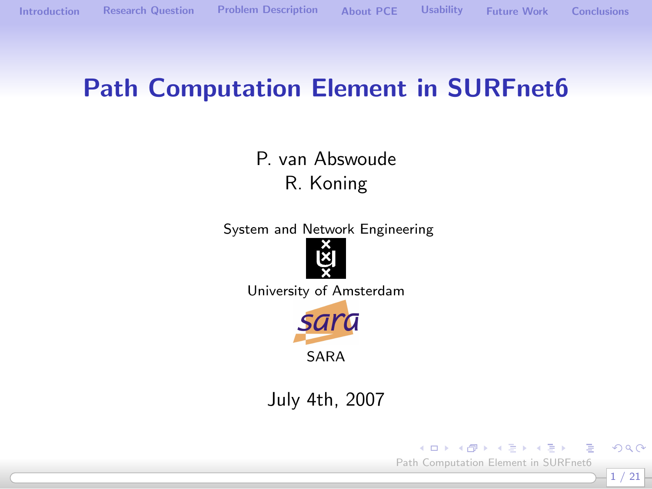#### Path Computation Element in SURFnet6

P. van Abswoude R. Koning

System and Network Engineering



University of Amsterdam



July 4th, 2007

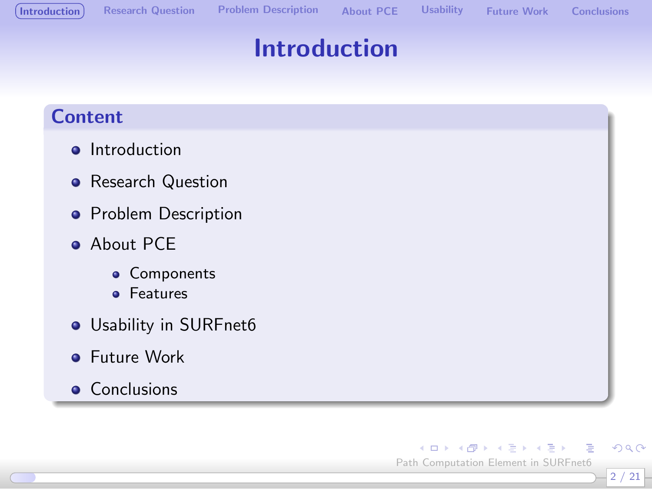## Introduction

#### Content

- **o** Introduction
- **•** Research Question
- **•** Problem Description
- **About PCE** 
	- **•** Components
	- **•** Features
- Usability in SURFnet6
- **•** Future Work
- **Conclusions**

<span id="page-1-0"></span>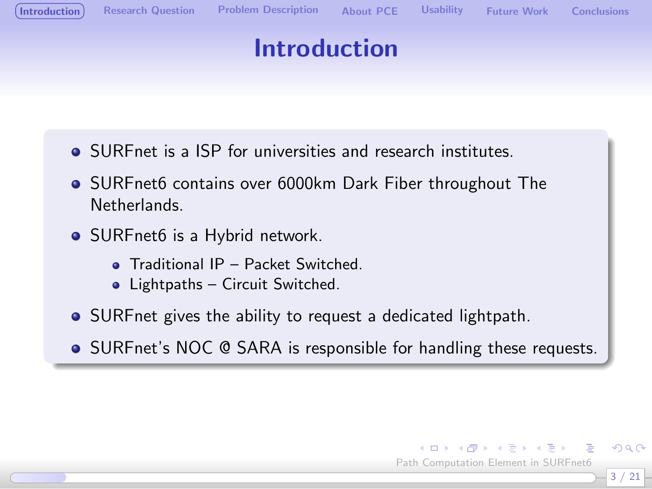# Introduction

- SURFnet is a ISP for universities and research institutes.
- SURFnet6 contains over 6000km Dark Fiber throughout The Netherlands.
- SURFnet6 is a Hybrid network.
	- **o** Traditional IP Packet Switched
	- Lightpaths Circuit Switched.
- SURFnet gives the ability to request a dedicated lightpath.
- SURFnet's NOC @ SARA is responsible for handling these requests.



 $\Omega$ 3 / 21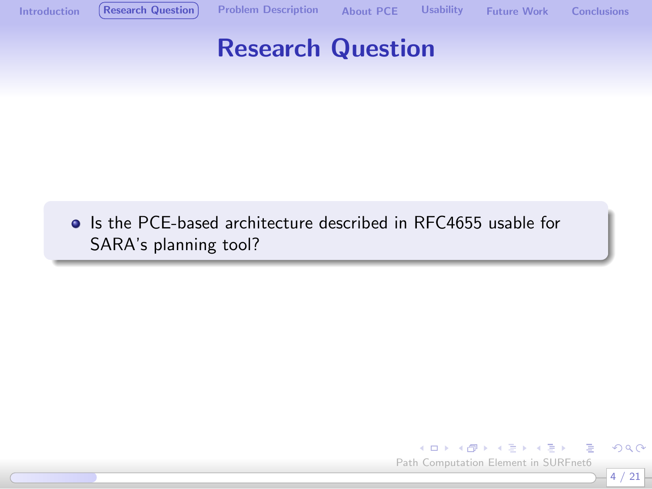

• Is the PCE-based architecture described in RFC4655 usable for SARA's planning tool?

<span id="page-3-0"></span>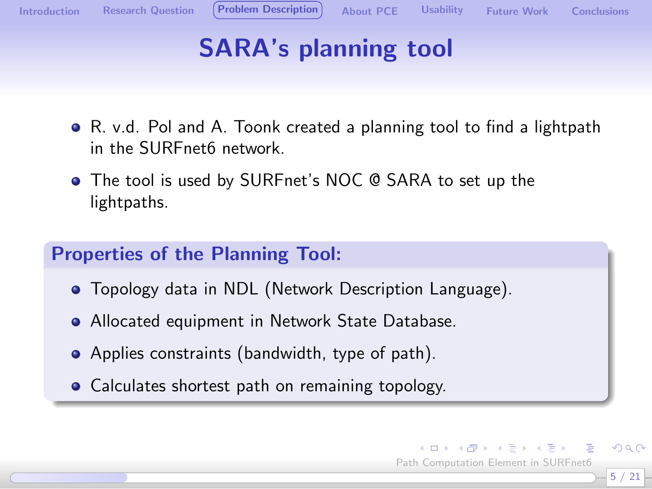<span id="page-4-0"></span>5 / 21

 $\Omega$ 

 $\left\{ \begin{array}{ccc} 1 & 0 & 0 \\ 0 & 1 & 0 \end{array} \right.$ Path Computation Element in SURFnet6

# SARA's planning tool

- R. v.d. Pol and A. Toonk created a planning tool to find a lightpath in the SURFnet6 network.
- The tool is used by SURFnet's NOC @ SARA to set up the lightpaths.

#### Properties of the Planning Tool:

- Topology data in NDL (Network Description Language).
- Allocated equipment in Network State Database.
- Applies constraints (bandwidth, type of path).
- Calculates shortest path on remaining topology.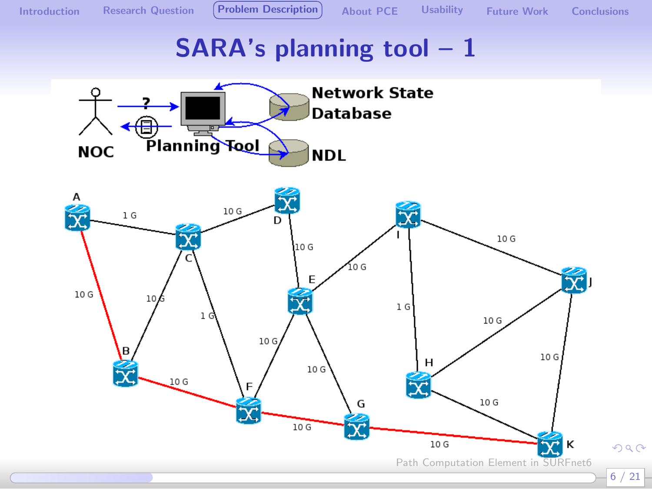# **SARA's planning tool - 1**

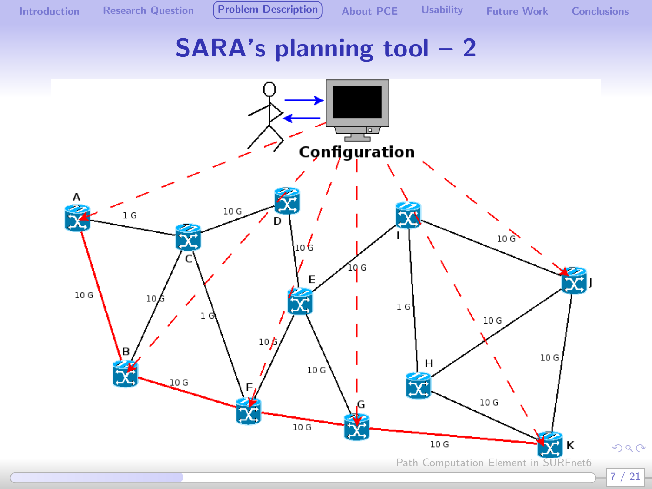## **SARA's planning tool - 2**

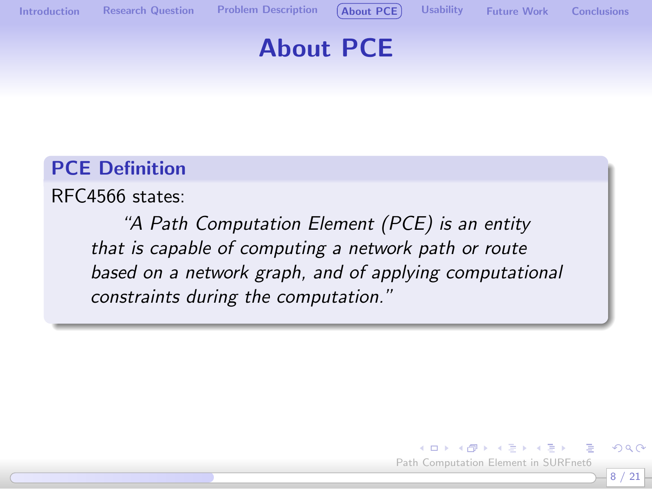

## About PCE

#### PCE Definition

RFC4566 states:

"A Path Computation Element (PCE) is an entity that is capable of computing a network path or route based on a network graph, and of applying computational constraints during the computation."

<span id="page-7-0"></span>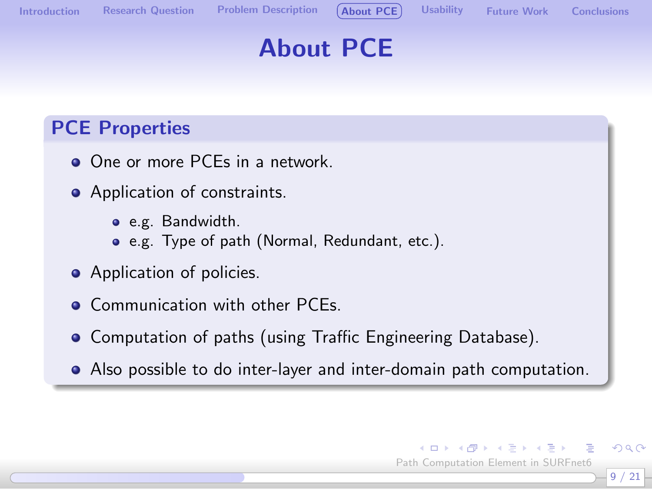

 $\left\{ \begin{array}{ccc} 1 & 0 & 0 \\ 0 & 1 & 0 \end{array} \right.$ Path Computation Element in SURFnet6

9 / 21

 $\Omega$ 

# About PCE

#### PCE Properties

- One or more PCEs in a network.
- Application of constraints.
	- e.g. Bandwidth.
	- e.g. Type of path (Normal, Redundant, etc.).
- Application of policies.
- Communication with other PCEs.
- Computation of paths (using Traffic Engineering Database).
- Also possible to do inter-layer and inter-domain path computation.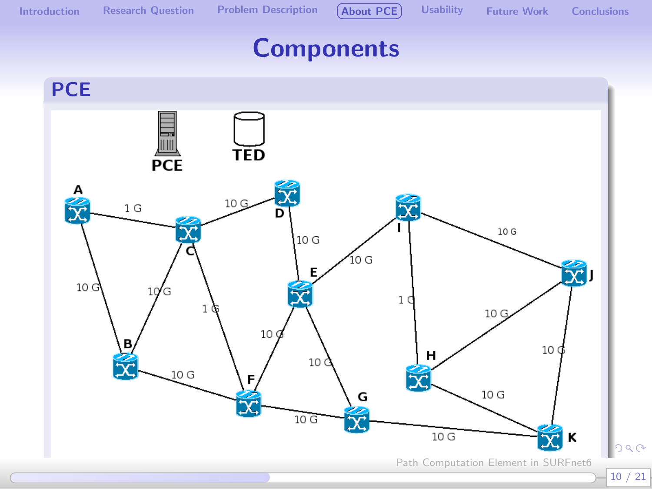

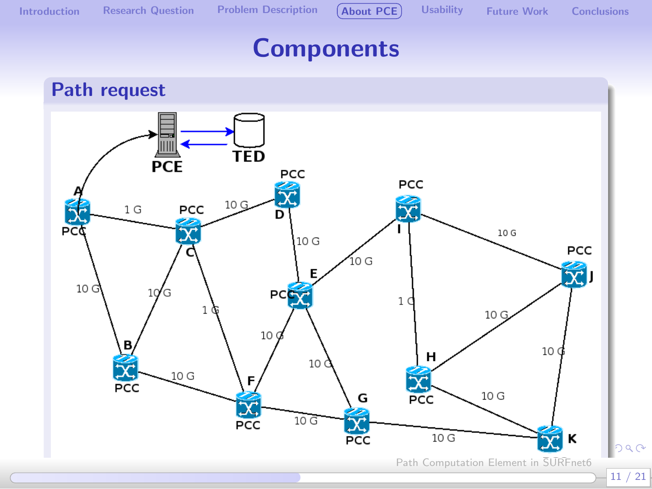

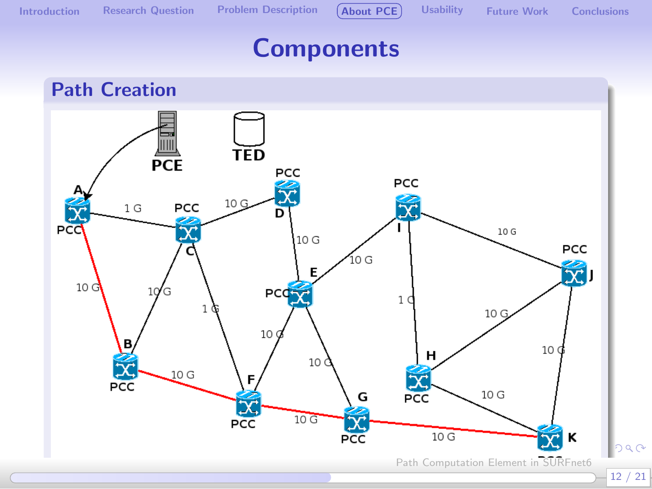

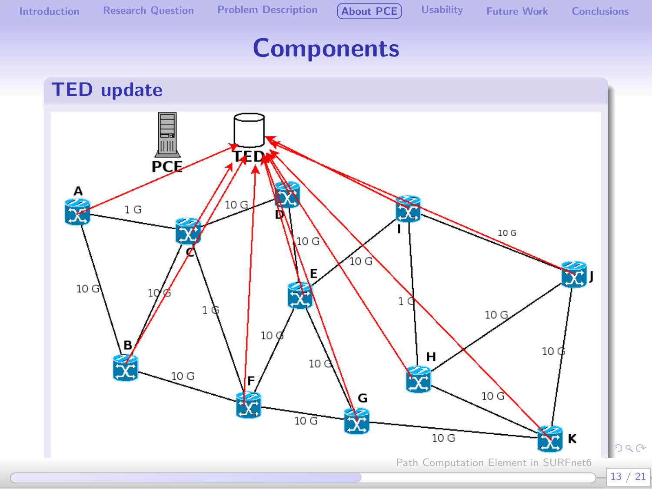

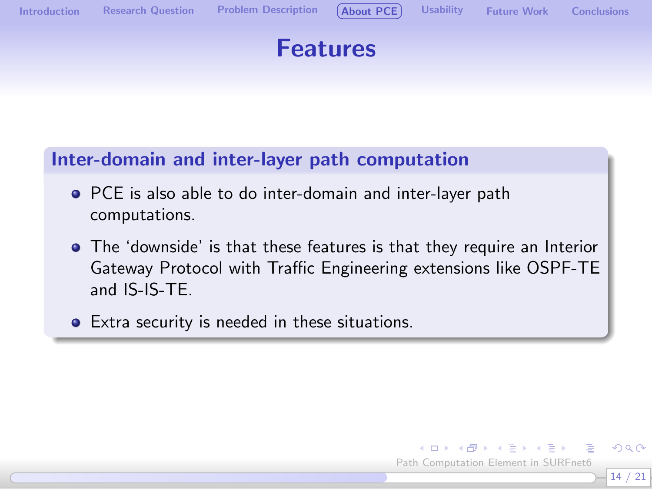



#### Inter-domain and inter-layer path computation

- PCE is also able to do inter-domain and inter-layer path computations.
- The 'downside' is that these features is that they require an Interior Gateway Protocol with Traffic Engineering extensions like OSPF-TE and IS-IS-TE.
- **•** Extra security is needed in these situations.

14 / 21 Path Computation Element in SURFnet6

 $QQ$ 

 $\left\{ \begin{array}{ccc} 1 & 0 & 0 \\ 0 & 1 & 0 \end{array} \right.$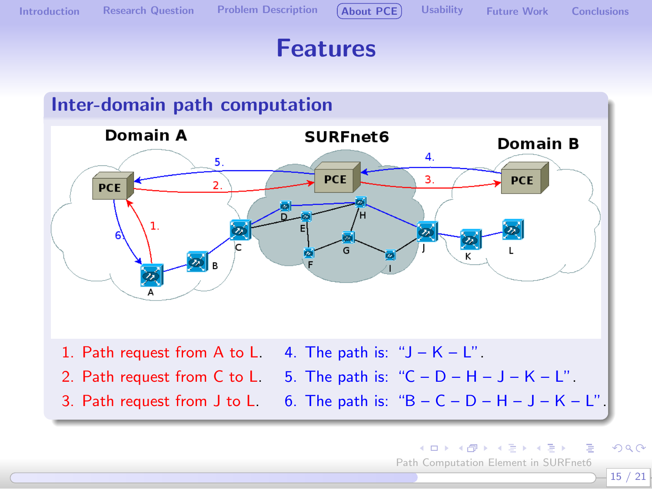

#### Features



 $\left\{ \begin{array}{ccc} 1 & 0 & 0 \\ 0 & 1 & 0 \end{array} \right.$  $299$ Path Computation Element in SURFnet6

15 / 21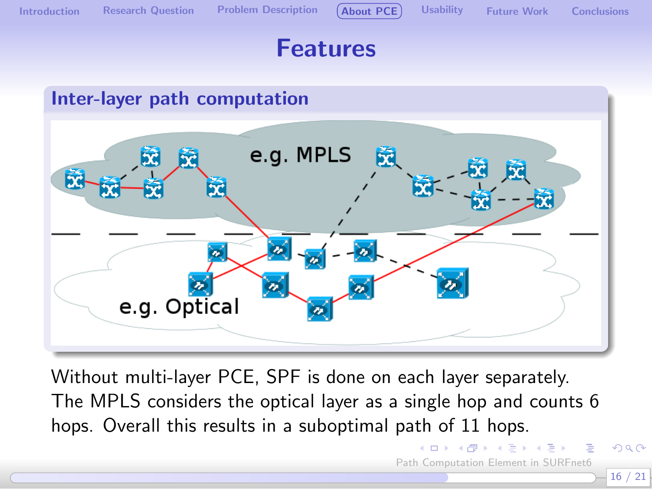

[Introduction](#page-1-0) [Research Question](#page-3-0) [Problem Description](#page-4-0) ([About PCE](#page-7-0)) [Usability](#page-17-0) [Future Work](#page-18-0) [Conclusions](#page-19-0)

#### Features



Without multi-layer PCE, SPF is done on each layer separately. The MPLS considers the optical layer as a single hop and counts 6 hops. Overall this results in a suboptimal path of 11 hops.

Path Computation Element in SURFnet6

4 D F

 $\rightarrow$   $\oplus$   $\rightarrow$   $\rightarrow$   $\oplus$   $\rightarrow$   $\rightarrow$   $\oplus$   $\rightarrow$ 

つへへ 16 / 21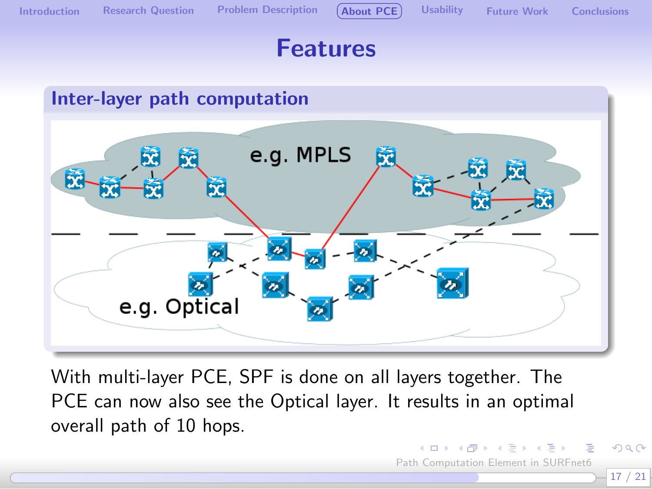

[Introduction](#page-1-0) [Research Question](#page-3-0) [Problem Description](#page-4-0) ([About PCE](#page-7-0)) [Usability](#page-17-0) [Future Work](#page-18-0) [Conclusions](#page-19-0)

Path Computation Element in SURFnet6

 $\left\{ \begin{array}{ccc} 1 & 0 & 0 \\ 0 & 1 & 0 \end{array} \right.$ 

17 / 21

 $\Omega$ 

#### Features



With multi-layer PCE, SPF is done on all layers together. The PCE can now also see the Optical layer. It results in an optimal overall path of 10 hops.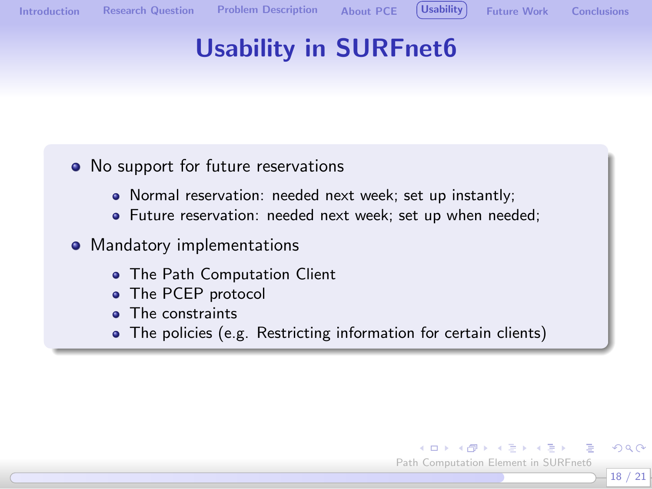

<span id="page-17-0"></span>18 / 21

 $QQ$ 

# Usability in SURFnet6

- No support for future reservations
	- Normal reservation: needed next week; set up instantly;
	- Future reservation: needed next week; set up when needed;
- Mandatory implementations
	- **The Path Computation Client**
	- The PCEP protocol
	- **•** The constraints
	- The policies (e.g. Restricting information for certain clients)

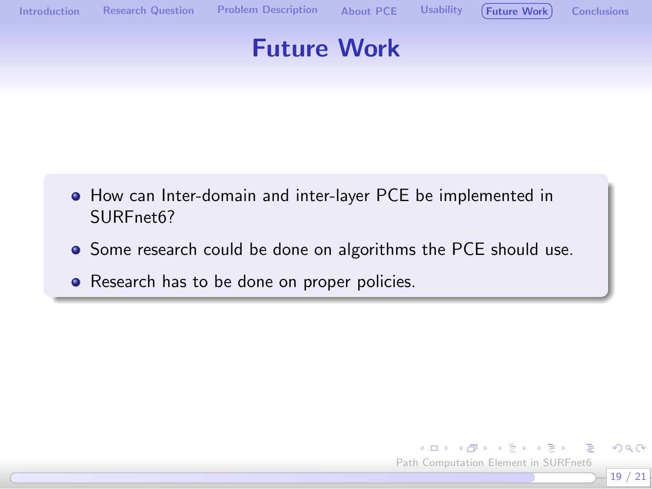

#### Future Work

- How can Inter-domain and inter-layer PCE be implemented in SURFnet6?
- Some research could be done on algorithms the PCE should use.
- Research has to be done on proper policies.

<span id="page-18-0"></span>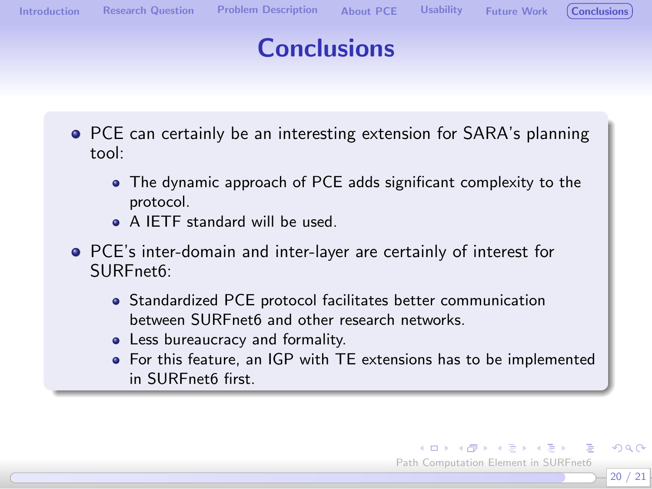$\left\{ \begin{array}{ccc} 1 & 0 & 0 \\ 0 & 1 & 0 \end{array} \right.$ Path Computation Element in SURFnet6

<span id="page-19-0"></span>20 / 21

 $QQ$ 

## **Conclusions**

- **PCE can certainly be an interesting extension for SARA's planning** tool:
	- The dynamic approach of PCE adds significant complexity to the protocol.
	- A IETF standard will be used.
- PCE's inter-domain and inter-layer are certainly of interest for SURFnet6:
	- Standardized PCE protocol facilitates better communication between SURFnet6 and other research networks.
	- Less bureaucracy and formality.
	- For this feature, an IGP with TE extensions has to be implemented in SURFnet6 first.